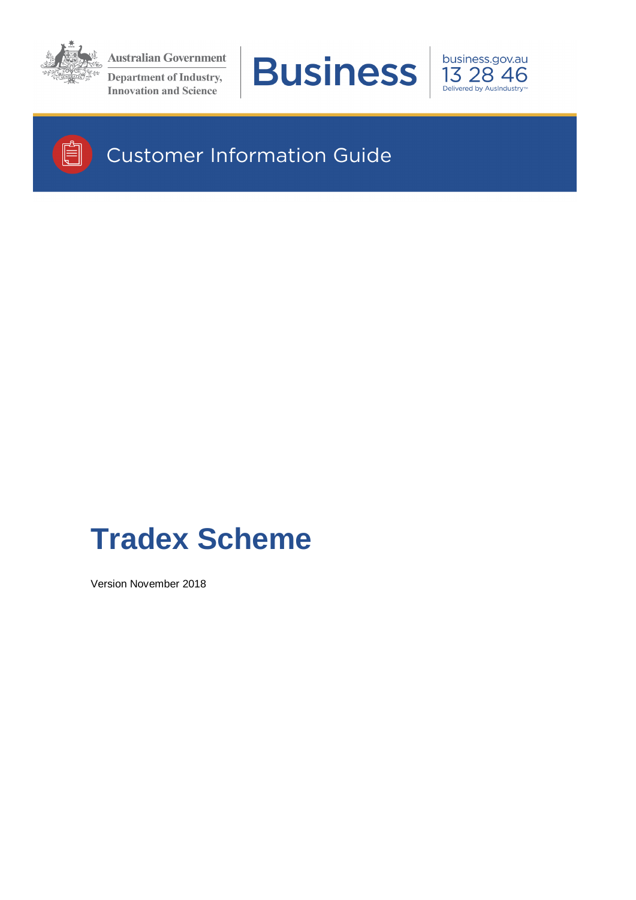

**Australian Government Department of Industry, Innovation and Science** 







# **Customer Information Guide**

# **Tradex Scheme**

Version November 2018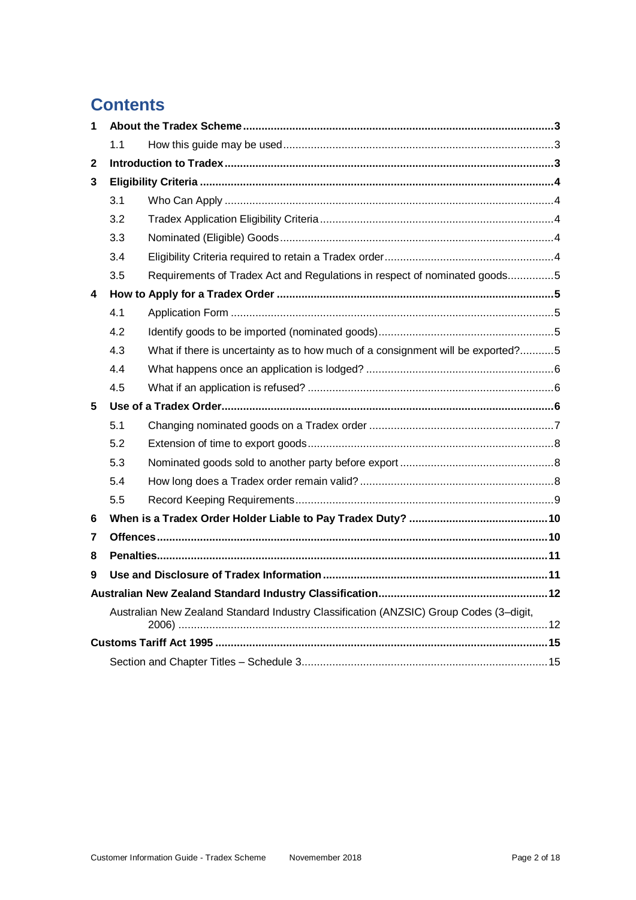# **Contents**

| 1 |                                                                                        |                                                                                 |  |
|---|----------------------------------------------------------------------------------------|---------------------------------------------------------------------------------|--|
|   | 1.1                                                                                    |                                                                                 |  |
| 2 |                                                                                        |                                                                                 |  |
| 3 |                                                                                        |                                                                                 |  |
|   | 3.1                                                                                    |                                                                                 |  |
|   | 3.2                                                                                    |                                                                                 |  |
|   | 3.3                                                                                    |                                                                                 |  |
|   | 3.4                                                                                    |                                                                                 |  |
|   | 3.5                                                                                    | Requirements of Tradex Act and Regulations in respect of nominated goods5       |  |
| 4 |                                                                                        |                                                                                 |  |
|   | 4.1                                                                                    |                                                                                 |  |
|   | 4.2                                                                                    |                                                                                 |  |
|   | 4.3                                                                                    | What if there is uncertainty as to how much of a consignment will be exported?5 |  |
|   | 4.4                                                                                    |                                                                                 |  |
|   | 4.5                                                                                    |                                                                                 |  |
| 5 |                                                                                        |                                                                                 |  |
|   | 5.1                                                                                    |                                                                                 |  |
|   | 5.2                                                                                    |                                                                                 |  |
|   | 5.3                                                                                    |                                                                                 |  |
|   | 5.4                                                                                    |                                                                                 |  |
|   | 5.5                                                                                    |                                                                                 |  |
| 6 |                                                                                        |                                                                                 |  |
| 7 |                                                                                        |                                                                                 |  |
| 8 |                                                                                        |                                                                                 |  |
| 9 |                                                                                        |                                                                                 |  |
|   |                                                                                        |                                                                                 |  |
|   | Australian New Zealand Standard Industry Classification (ANZSIC) Group Codes (3-digit, |                                                                                 |  |
|   |                                                                                        |                                                                                 |  |
|   |                                                                                        |                                                                                 |  |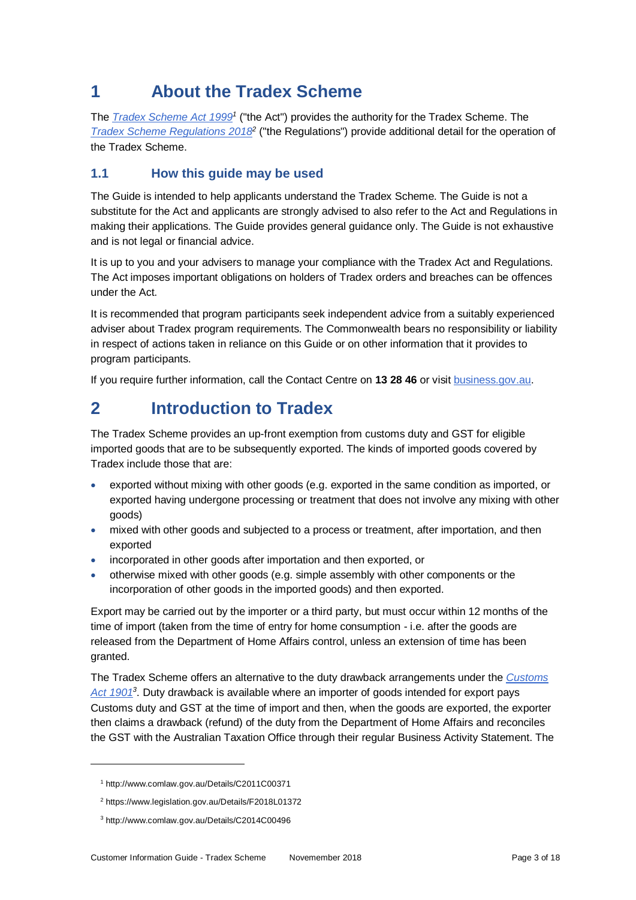# **1 About the Tradex Scheme**

The *[Tradex Scheme Act 1999](http://www.comlaw.gov.au/Details/C2011C00371)<sup>1</sup>* ("the Act") provides the authority for the Tradex Scheme. The *[Tradex Scheme Regulations 2018](https://www.legislation.gov.au/Details/F2018L01372)*<sup>2</sup> ("the Regulations") provide additional detail for the operation of the Tradex Scheme.

# **1.1 How this guide may be used**

The Guide is intended to help applicants understand the Tradex Scheme. The Guide is not a substitute for the Act and applicants are strongly advised to also refer to the Act and Regulations in making their applications. The Guide provides general guidance only. The Guide is not exhaustive and is not legal or financial advice.

It is up to you and your advisers to manage your compliance with the Tradex Act and Regulations. The Act imposes important obligations on holders of Tradex orders and breaches can be offences under the Act.

It is recommended that program participants seek independent advice from a suitably experienced adviser about Tradex program requirements. The Commonwealth bears no responsibility or liability in respect of actions taken in reliance on this Guide or on other information that it provides to program participants.

If you require further information, call the Contact Centre on **13 28 46** or visi[t business.gov.au.](http://www.business.gov.au/grants-and-assistance/import-export/tradex/Pages/default.aspx)

# **2 Introduction to Tradex**

The Tradex Scheme provides an up-front exemption from customs duty and GST for eligible imported goods that are to be subsequently exported. The kinds of imported goods covered by Tradex include those that are:

- exported without mixing with other goods (e.g. exported in the same condition as imported, or exported having undergone processing or treatment that does not involve any mixing with other goods)
- mixed with other goods and subjected to a process or treatment, after importation, and then exported
- incorporated in other goods after importation and then exported, or
- otherwise mixed with other goods (e.g. simple assembly with other components or the incorporation of other goods in the imported goods) and then exported.

Export may be carried out by the importer or a third party, but must occur within 12 months of the time of import (taken from the time of entry for home consumption - i.e. after the goods are released from the Department of Home Affairs control, unless an extension of time has been granted.

The Tradex Scheme offers an alternative to the duty drawback arrangements under the *[Customs](http://www.comlaw.gov.au/Details/C2014C00496)*  [Act 1901](http://www.comlaw.gov.au/Details/C2014C00496)<sup>3</sup>. Duty drawback is available where an importer of goods intended for export pays Customs duty and GST at the time of import and then, when the goods are exported, the exporter then claims a drawback (refund) of the duty from the Department of Home Affairs and reconciles the GST with the Australian Taxation Office through their regular Business Activity Statement. The

l

<sup>1</sup> http://www.comlaw.gov.au/Details/C2011C00371

<sup>2</sup> https://www.legislation.gov.au/Details/F2018L01372

<sup>3</sup> http://www.comlaw.gov.au/Details/C2014C00496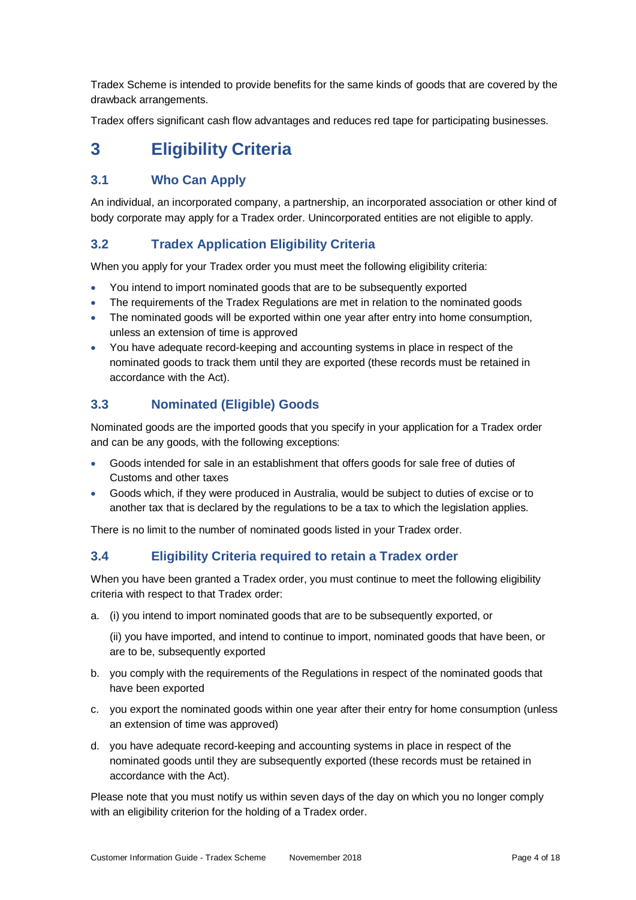Tradex Scheme is intended to provide benefits for the same kinds of goods that are covered by the drawback arrangements.

Tradex offers significant cash flow advantages and reduces red tape for participating businesses.

# **3 Eligibility Criteria**

## **3.1 Who Can Apply**

An individual, an incorporated company, a partnership, an incorporated association or other kind of body corporate may apply for a Tradex order. Unincorporated entities are not eligible to apply.

### **3.2 Tradex Application Eligibility Criteria**

When you apply for your Tradex order you must meet the following eligibility criteria:

- You intend to import nominated goods that are to be subsequently exported
- The requirements of the Tradex Regulations are met in relation to the nominated goods
- The nominated goods will be exported within one year after entry into home consumption, unless an extension of time is approved
- You have adequate record-keeping and accounting systems in place in respect of the nominated goods to track them until they are exported (these records must be retained in accordance with the Act).

## **3.3 Nominated (Eligible) Goods**

Nominated goods are the imported goods that you specify in your application for a Tradex order and can be any goods, with the following exceptions:

- Goods intended for sale in an establishment that offers goods for sale free of duties of Customs and other taxes
- Goods which, if they were produced in Australia, would be subject to duties of excise or to another tax that is declared by the regulations to be a tax to which the legislation applies.

There is no limit to the number of nominated goods listed in your Tradex order.

### **3.4 Eligibility Criteria required to retain a Tradex order**

When you have been granted a Tradex order, you must continue to meet the following eligibility criteria with respect to that Tradex order:

a. (i) you intend to import nominated goods that are to be subsequently exported, or

(ii) you have imported, and intend to continue to import, nominated goods that have been, or are to be, subsequently exported

- b. you comply with the requirements of the Regulations in respect of the nominated goods that have been exported
- c. you export the nominated goods within one year after their entry for home consumption (unless an extension of time was approved)
- d. you have adequate record-keeping and accounting systems in place in respect of the nominated goods until they are subsequently exported (these records must be retained in accordance with the Act).

Please note that you must notify us within seven days of the day on which you no longer comply with an eligibility criterion for the holding of a Tradex order.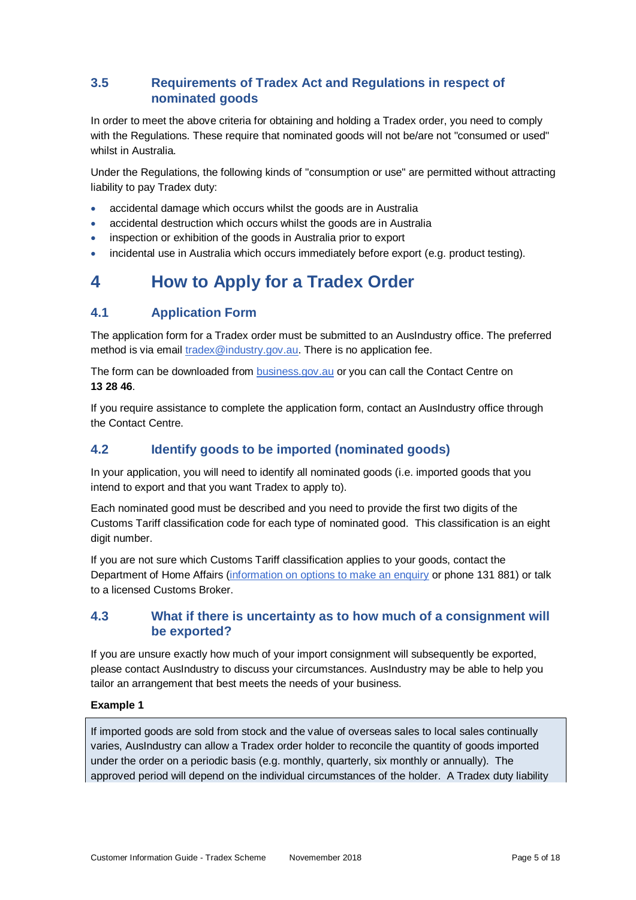## **3.5 Requirements of Tradex Act and Regulations in respect of nominated goods**

In order to meet the above criteria for obtaining and holding a Tradex order, you need to comply with the Regulations. These require that nominated goods will not be/are not "consumed or used" whilst in Australia.

Under the Regulations, the following kinds of "consumption or use" are permitted without attracting liability to pay Tradex duty:

- accidental damage which occurs whilst the goods are in Australia
- accidental destruction which occurs whilst the goods are in Australia
- inspection or exhibition of the goods in Australia prior to export
- incidental use in Australia which occurs immediately before export (e.g. product testing).

# **4 How to Apply for a Tradex Order**

### **4.1 Application Form**

The application form for a Tradex order must be submitted to an AusIndustry office. The preferred method is via email [tradex@industry.gov.au.](mailto:tradex@industry.gov.au) There is no application fee.

The form can be downloaded from [business.gov.au](http://www.business.gov.au/grants-and-assistance/import-export/tradex/Pages/TRADEX-ApplicationForms.aspx) or you can call the Contact Centre on **13 28 46**.

If you require assistance to complete the application form, contact an AusIndustry office through the Contact Centre.

### **4.2 Identify goods to be imported (nominated goods)**

In your application, you will need to identify all nominated goods (i.e. imported goods that you intend to export and that you want Tradex to apply to).

Each nominated good must be described and you need to provide the first two digits of the Customs Tariff classification code for each type of nominated good. This classification is an eight digit number.

If you are not sure which Customs Tariff classification applies to your goods, contact the Department of Home Affairs [\(information on options to make](https://archive.homeaffairs.gov.au/busi/cargo-support-trade-and-goods/importing-goods/tariff-classification-of-goods) an enquiry or phone 131 881) or talk to a licensed Customs Broker.

### **4.3 What if there is uncertainty as to how much of a consignment will be exported?**

If you are unsure exactly how much of your import consignment will subsequently be exported, please contact AusIndustry to discuss your circumstances. AusIndustry may be able to help you tailor an arrangement that best meets the needs of your business.

### **Example 1**

If imported goods are sold from stock and the value of overseas sales to local sales continually varies, AusIndustry can allow a Tradex order holder to reconcile the quantity of goods imported under the order on a periodic basis (e.g. monthly, quarterly, six monthly or annually). The approved period will depend on the individual circumstances of the holder. A Tradex duty liability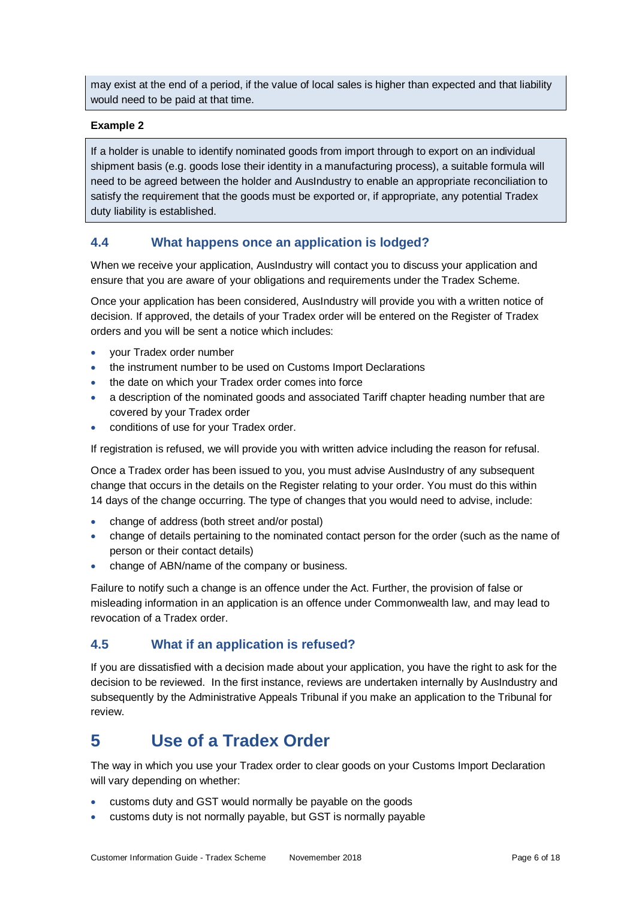may exist at the end of a period, if the value of local sales is higher than expected and that liability would need to be paid at that time.

#### **Example 2**

If a holder is unable to identify nominated goods from import through to export on an individual shipment basis (e.g. goods lose their identity in a manufacturing process), a suitable formula will need to be agreed between the holder and AusIndustry to enable an appropriate reconciliation to satisfy the requirement that the goods must be exported or, if appropriate, any potential Tradex duty liability is established.

### **4.4 What happens once an application is lodged?**

When we receive your application, AusIndustry will contact you to discuss your application and ensure that you are aware of your obligations and requirements under the Tradex Scheme.

Once your application has been considered, AusIndustry will provide you with a written notice of decision. If approved, the details of your Tradex order will be entered on the Register of Tradex orders and you will be sent a notice which includes:

- your Tradex order number
- the instrument number to be used on Customs Import Declarations
- the date on which your Tradex order comes into force
- a description of the nominated goods and associated Tariff chapter heading number that are covered by your Tradex order
- conditions of use for your Tradex order.

If registration is refused, we will provide you with written advice including the reason for refusal.

Once a Tradex order has been issued to you, you must advise AusIndustry of any subsequent change that occurs in the details on the Register relating to your order. You must do this within 14 days of the change occurring. The type of changes that you would need to advise, include:

- change of address (both street and/or postal)
- change of details pertaining to the nominated contact person for the order (such as the name of person or their contact details)
- change of ABN/name of the company or business.

Failure to notify such a change is an offence under the Act. Further, the provision of false or misleading information in an application is an offence under Commonwealth law, and may lead to revocation of a Tradex order.

### **4.5 What if an application is refused?**

If you are dissatisfied with a decision made about your application, you have the right to ask for the decision to be reviewed. In the first instance, reviews are undertaken internally by AusIndustry and subsequently by the Administrative Appeals Tribunal if you make an application to the Tribunal for review.

# **5 Use of a Tradex Order**

The way in which you use your Tradex order to clear goods on your Customs Import Declaration will vary depending on whether:

- customs duty and GST would normally be payable on the goods
- customs duty is not normally payable, but GST is normally payable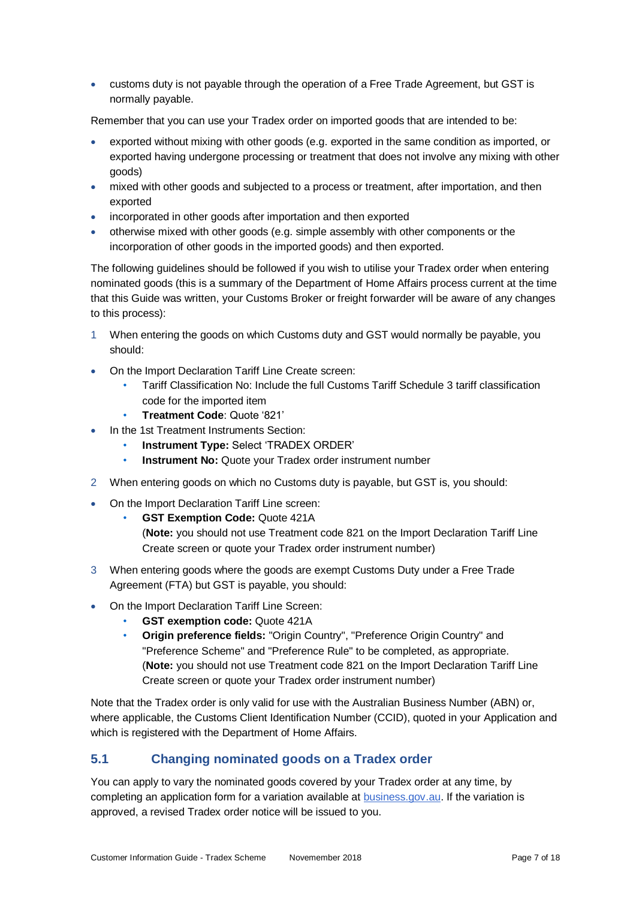customs duty is not payable through the operation of a Free Trade Agreement, but GST is normally payable.

Remember that you can use your Tradex order on imported goods that are intended to be:

- exported without mixing with other goods (e.g. exported in the same condition as imported, or exported having undergone processing or treatment that does not involve any mixing with other goods)
- mixed with other goods and subjected to a process or treatment, after importation, and then exported
- incorporated in other goods after importation and then exported
- otherwise mixed with other goods (e.g. simple assembly with other components or the incorporation of other goods in the imported goods) and then exported.

The following guidelines should be followed if you wish to utilise your Tradex order when entering nominated goods (this is a summary of the Department of Home Affairs process current at the time that this Guide was written, your Customs Broker or freight forwarder will be aware of any changes to this process):

- 1 When entering the goods on which Customs duty and GST would normally be payable, you should:
- On the Import Declaration Tariff Line Create screen:
	- Tariff Classification No: Include the full Customs Tariff Schedule 3 tariff classification code for the imported item
	- **Treatment Code**: Quote '821'
- In the 1st Treatment Instruments Section:
	- **Instrument Type:** Select 'TRADEX ORDER'
	- **Instrument No:** Quote your Tradex order instrument number
- 2 When entering goods on which no Customs duty is payable, but GST is, you should:
- On the Import Declaration Tariff Line screen:
	- **GST Exemption Code:** Quote 421A

(**Note:** you should not use Treatment code 821 on the Import Declaration Tariff Line Create screen or quote your Tradex order instrument number)

- 3 When entering goods where the goods are exempt Customs Duty under a Free Trade Agreement (FTA) but GST is payable, you should:
- On the Import Declaration Tariff Line Screen:
	- **GST exemption code:** Quote 421A
	- **Origin preference fields:** "Origin Country", "Preference Origin Country" and "Preference Scheme" and "Preference Rule" to be completed, as appropriate. (**Note:** you should not use Treatment code 821 on the Import Declaration Tariff Line Create screen or quote your Tradex order instrument number)

Note that the Tradex order is only valid for use with the Australian Business Number (ABN) or, where applicable, the Customs Client Identification Number (CCID), quoted in your Application and which is registered with the Department of Home Affairs.

### **5.1 Changing nominated goods on a Tradex order**

You can apply to vary the nominated goods covered by your Tradex order at any time, by completing an application form for a variation available at **[business.gov.au.](http://www.business.gov.au/grants-and-assistance/import-export/tradex/Pages/TRADEX-ApplicationForms.aspx)** If the variation is approved, a revised Tradex order notice will be issued to you.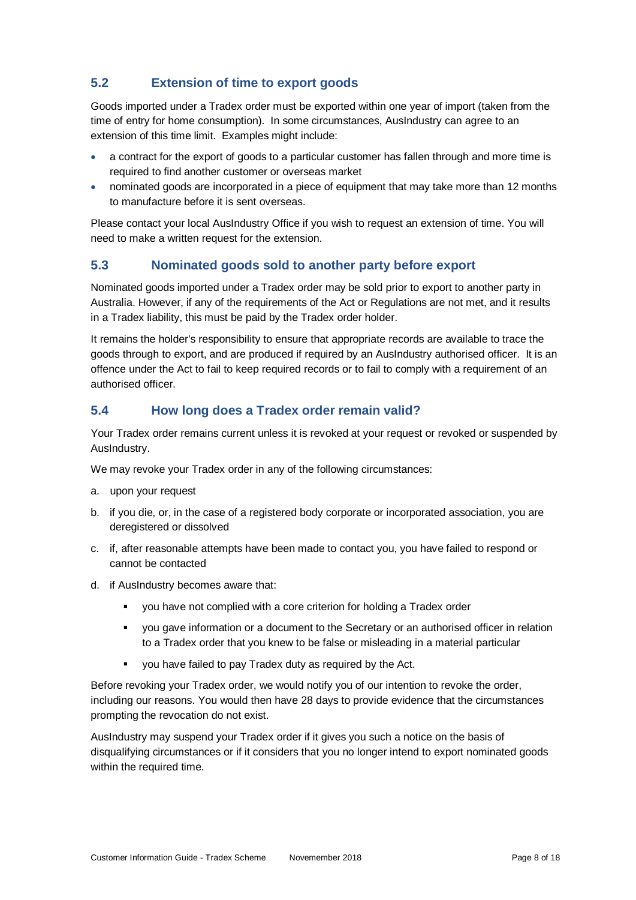# **5.2 Extension of time to export goods**

Goods imported under a Tradex order must be exported within one year of import (taken from the time of entry for home consumption). In some circumstances, AusIndustry can agree to an extension of this time limit. Examples might include:

- a contract for the export of goods to a particular customer has fallen through and more time is required to find another customer or overseas market
- nominated goods are incorporated in a piece of equipment that may take more than 12 months to manufacture before it is sent overseas.

Please contact your local AusIndustry Office if you wish to request an extension of time. You will need to make a written request for the extension.

## **5.3 Nominated goods sold to another party before export**

Nominated goods imported under a Tradex order may be sold prior to export to another party in Australia. However, if any of the requirements of the Act or Regulations are not met, and it results in a Tradex liability, this must be paid by the Tradex order holder.

It remains the holder's responsibility to ensure that appropriate records are available to trace the goods through to export, and are produced if required by an AusIndustry authorised officer. It is an offence under the Act to fail to keep required records or to fail to comply with a requirement of an authorised officer.

### **5.4 How long does a Tradex order remain valid?**

Your Tradex order remains current unless it is revoked at your request or revoked or suspended by AusIndustry.

We may revoke your Tradex order in any of the following circumstances:

- a. upon your request
- b. if you die, or, in the case of a registered body corporate or incorporated association, you are deregistered or dissolved
- c. if, after reasonable attempts have been made to contact you, you have failed to respond or cannot be contacted
- d. if AusIndustry becomes aware that:
	- you have not complied with a core criterion for holding a Tradex order
	- you gave information or a document to the Secretary or an authorised officer in relation to a Tradex order that you knew to be false or misleading in a material particular
	- you have failed to pay Tradex duty as required by the Act.

Before revoking your Tradex order, we would notify you of our intention to revoke the order, including our reasons. You would then have 28 days to provide evidence that the circumstances prompting the revocation do not exist.

AusIndustry may suspend your Tradex order if it gives you such a notice on the basis of disqualifying circumstances or if it considers that you no longer intend to export nominated goods within the required time.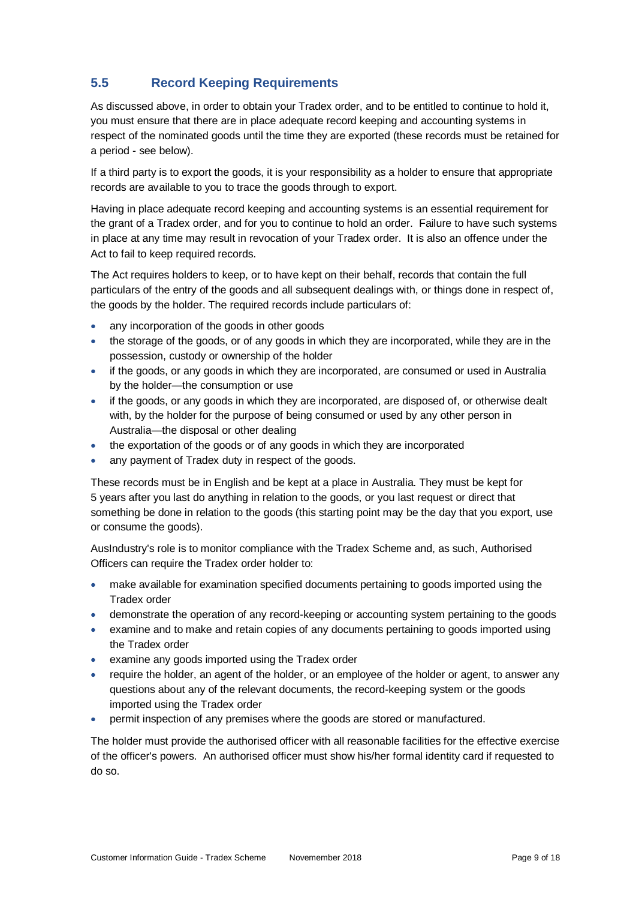# **5.5 Record Keeping Requirements**

As discussed above, in order to obtain your Tradex order, and to be entitled to continue to hold it, you must ensure that there are in place adequate record keeping and accounting systems in respect of the nominated goods until the time they are exported (these records must be retained for a period - see below).

If a third party is to export the goods, it is your responsibility as a holder to ensure that appropriate records are available to you to trace the goods through to export.

Having in place adequate record keeping and accounting systems is an essential requirement for the grant of a Tradex order, and for you to continue to hold an order. Failure to have such systems in place at any time may result in revocation of your Tradex order. It is also an offence under the Act to fail to keep required records.

The Act requires holders to keep, or to have kept on their behalf, records that contain the full particulars of the entry of the goods and all subsequent dealings with, or things done in respect of, the goods by the holder. The required records include particulars of:

- any incorporation of the goods in other goods
- the storage of the goods, or of any goods in which they are incorporated, while they are in the possession, custody or ownership of the holder
- if the goods, or any goods in which they are incorporated, are consumed or used in Australia by the holder—the consumption or use
- if the goods, or any goods in which they are incorporated, are disposed of, or otherwise dealt with, by the holder for the purpose of being consumed or used by any other person in Australia—the disposal or other dealing
- the exportation of the goods or of any goods in which they are incorporated
- any payment of Tradex duty in respect of the goods.

These records must be in English and be kept at a place in Australia. They must be kept for 5 years after you last do anything in relation to the goods, or you last request or direct that something be done in relation to the goods (this starting point may be the day that you export, use or consume the goods).

AusIndustry's role is to monitor compliance with the Tradex Scheme and, as such, Authorised Officers can require the Tradex order holder to:

- make available for examination specified documents pertaining to goods imported using the Tradex order
- demonstrate the operation of any record-keeping or accounting system pertaining to the goods
- examine and to make and retain copies of any documents pertaining to goods imported using the Tradex order
- examine any goods imported using the Tradex order
- require the holder, an agent of the holder, or an employee of the holder or agent, to answer any questions about any of the relevant documents, the record-keeping system or the goods imported using the Tradex order
- permit inspection of any premises where the goods are stored or manufactured.

The holder must provide the authorised officer with all reasonable facilities for the effective exercise of the officer's powers. An authorised officer must show his/her formal identity card if requested to do so.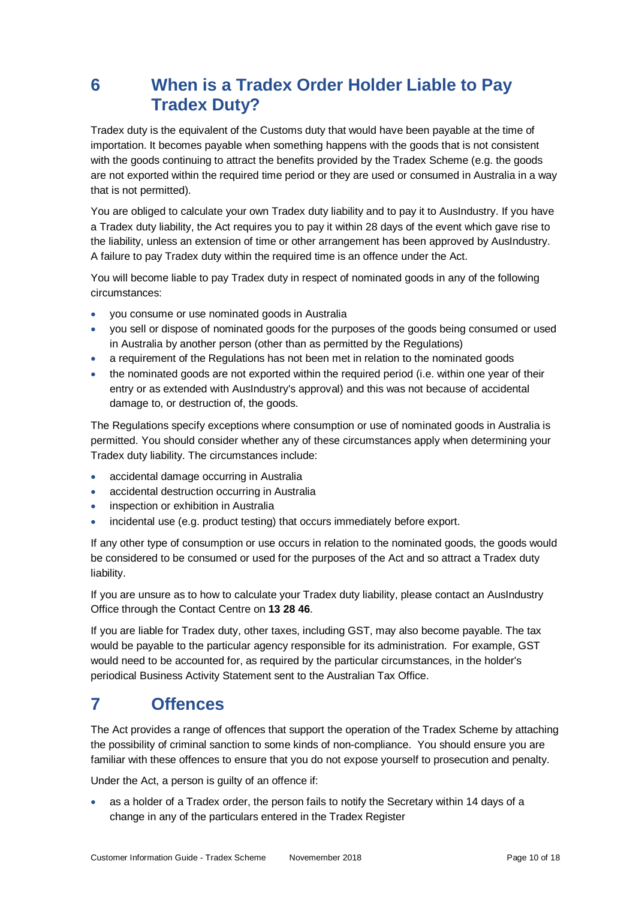# **6 When is a Tradex Order Holder Liable to Pay Tradex Duty?**

Tradex duty is the equivalent of the Customs duty that would have been payable at the time of importation. It becomes payable when something happens with the goods that is not consistent with the goods continuing to attract the benefits provided by the Tradex Scheme (e.g. the goods are not exported within the required time period or they are used or consumed in Australia in a way that is not permitted).

You are obliged to calculate your own Tradex duty liability and to pay it to AusIndustry. If you have a Tradex duty liability, the Act requires you to pay it within 28 days of the event which gave rise to the liability, unless an extension of time or other arrangement has been approved by AusIndustry. A failure to pay Tradex duty within the required time is an offence under the Act.

You will become liable to pay Tradex duty in respect of nominated goods in any of the following circumstances:

- you consume or use nominated goods in Australia
- you sell or dispose of nominated goods for the purposes of the goods being consumed or used in Australia by another person (other than as permitted by the Regulations)
- a requirement of the Regulations has not been met in relation to the nominated goods
- the nominated goods are not exported within the required period (i.e. within one year of their entry or as extended with AusIndustry's approval) and this was not because of accidental damage to, or destruction of, the goods.

The Regulations specify exceptions where consumption or use of nominated goods in Australia is permitted. You should consider whether any of these circumstances apply when determining your Tradex duty liability. The circumstances include:

- accidental damage occurring in Australia
- accidental destruction occurring in Australia
- inspection or exhibition in Australia
- incidental use (e.g. product testing) that occurs immediately before export.

If any other type of consumption or use occurs in relation to the nominated goods, the goods would be considered to be consumed or used for the purposes of the Act and so attract a Tradex duty liability.

If you are unsure as to how to calculate your Tradex duty liability, please contact an AusIndustry Office through the Contact Centre on **13 28 46**.

If you are liable for Tradex duty, other taxes, including GST, may also become payable. The tax would be payable to the particular agency responsible for its administration. For example, GST would need to be accounted for, as required by the particular circumstances, in the holder's periodical Business Activity Statement sent to the Australian Tax Office.

# **7 Offences**

The Act provides a range of offences that support the operation of the Tradex Scheme by attaching the possibility of criminal sanction to some kinds of non-compliance. You should ensure you are familiar with these offences to ensure that you do not expose yourself to prosecution and penalty.

Under the Act, a person is guilty of an offence if:

 as a holder of a Tradex order, the person fails to notify the Secretary within 14 days of a change in any of the particulars entered in the Tradex Register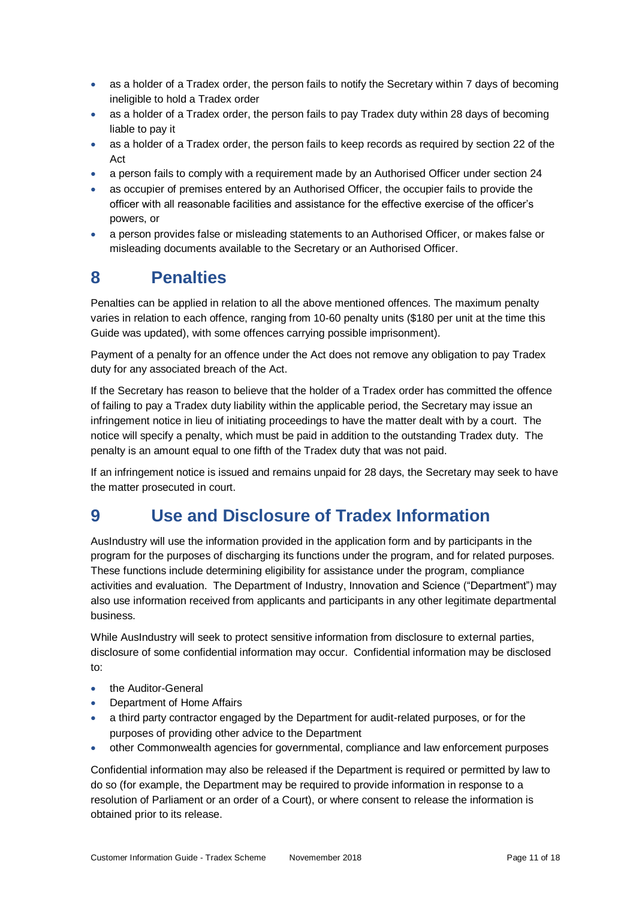- as a holder of a Tradex order, the person fails to notify the Secretary within 7 days of becoming ineligible to hold a Tradex order
- as a holder of a Tradex order, the person fails to pay Tradex duty within 28 days of becoming liable to pay it
- as a holder of a Tradex order, the person fails to keep records as required by section 22 of the Act
- a person fails to comply with a requirement made by an Authorised Officer under section 24
- as occupier of premises entered by an Authorised Officer, the occupier fails to provide the officer with all reasonable facilities and assistance for the effective exercise of the officer's powers, or
- a person provides false or misleading statements to an Authorised Officer, or makes false or misleading documents available to the Secretary or an Authorised Officer.

# **8 Penalties**

Penalties can be applied in relation to all the above mentioned offences. The maximum penalty varies in relation to each offence, ranging from 10-60 penalty units (\$180 per unit at the time this Guide was updated), with some offences carrying possible imprisonment).

Payment of a penalty for an offence under the Act does not remove any obligation to pay Tradex duty for any associated breach of the Act.

If the Secretary has reason to believe that the holder of a Tradex order has committed the offence of failing to pay a Tradex duty liability within the applicable period, the Secretary may issue an infringement notice in lieu of initiating proceedings to have the matter dealt with by a court. The notice will specify a penalty, which must be paid in addition to the outstanding Tradex duty. The penalty is an amount equal to one fifth of the Tradex duty that was not paid.

If an infringement notice is issued and remains unpaid for 28 days, the Secretary may seek to have the matter prosecuted in court.

# **9 Use and Disclosure of Tradex Information**

AusIndustry will use the information provided in the application form and by participants in the program for the purposes of discharging its functions under the program, and for related purposes. These functions include determining eligibility for assistance under the program, compliance activities and evaluation. The Department of Industry, Innovation and Science ("Department") may also use information received from applicants and participants in any other legitimate departmental business.

While AusIndustry will seek to protect sensitive information from disclosure to external parties, disclosure of some confidential information may occur. Confidential information may be disclosed to:

- the Auditor-General
- Department of Home Affairs
- a third party contractor engaged by the Department for audit-related purposes, or for the purposes of providing other advice to the Department
- other Commonwealth agencies for governmental, compliance and law enforcement purposes

Confidential information may also be released if the Department is required or permitted by law to do so (for example, the Department may be required to provide information in response to a resolution of Parliament or an order of a Court), or where consent to release the information is obtained prior to its release.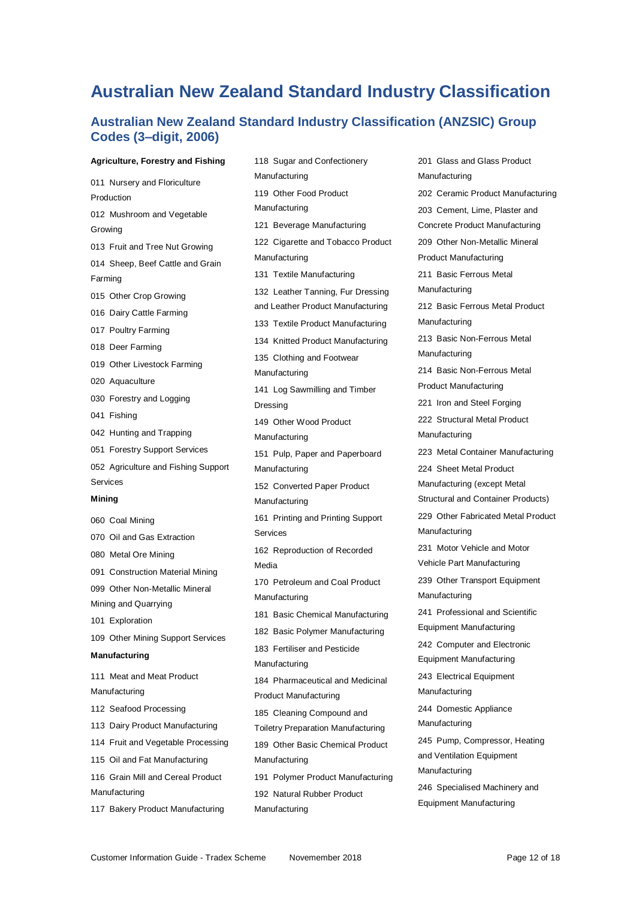# **Australian New Zealand Standard Industry Classification**

### **Australian New Zealand Standard Industry Classification (ANZSIC) Group Codes (3–digit, 2006)**

#### **Agriculture, Forestry and Fishing**

011 Nursery and Floriculture Production 012 Mushroom and Vegetable Growing 013 Fruit and Tree Nut Growing 014 Sheep, Beef Cattle and Grain Farming 015 Other Crop Growing 016 Dairy Cattle Farming 017 Poultry Farming 018 Deer Farming 019 Other Livestock Farming 020 Aquaculture 030 Forestry and Logging 041 Fishing 042 Hunting and Trapping 051 Forestry Support Services 052 Agriculture and Fishing Support Services **Mining** 060 Coal Mining 070 Oil and Gas Extraction 080 Metal Ore Mining 091 Construction Material Mining 099 Other Non-Metallic Mineral Mining and Quarrying 101 Exploration 109 Other Mining Support Services **Manufacturing** 111 Meat and Meat Product Manufacturing 112 Seafood Processing 113 Dairy Product Manufacturing 114 Fruit and Vegetable Processing 115 Oil and Fat Manufacturing 116 Grain Mill and Cereal Product Manufacturing 117 Bakery Product Manufacturing

118 Sugar and Confectionery Manufacturing 119 Other Food Product Manufacturing 121 Beverage Manufacturing 122 Cigarette and Tobacco Product Manufacturing 131 Textile Manufacturing 132 Leather Tanning, Fur Dressing and Leather Product Manufacturing 133 Textile Product Manufacturing 134 Knitted Product Manufacturing 135 Clothing and Footwear Manufacturing 141 Log Sawmilling and Timber Dressing 149 Other Wood Product Manufacturing 151 Pulp, Paper and Paperboard Manufacturing 152 Converted Paper Product Manufacturing 161 Printing and Printing Support Services 162 Reproduction of Recorded Media 170 Petroleum and Coal Product Manufacturing 181 Basic Chemical Manufacturing 182 Basic Polymer Manufacturing 183 Fertiliser and Pesticide Manufacturing 184 Pharmaceutical and Medicinal Product Manufacturing 185 Cleaning Compound and Toiletry Preparation Manufacturing 189 Other Basic Chemical Product Manufacturing 191 Polymer Product Manufacturing 192 Natural Rubber Product Manufacturing

201 Glass and Glass Product Manufacturing 202 Ceramic Product Manufacturing 203 Cement, Lime, Plaster and Concrete Product Manufacturing 209 Other Non-Metallic Mineral Product Manufacturing 211 Basic Ferrous Metal Manufacturing 212 Basic Ferrous Metal Product Manufacturing 213 Basic Non-Ferrous Metal Manufacturing 214 Basic Non-Ferrous Metal Product Manufacturing 221 Iron and Steel Forging 222 Structural Metal Product Manufacturing 223 Metal Container Manufacturing 224 Sheet Metal Product Manufacturing (except Metal Structural and Container Products) 229 Other Fabricated Metal Product Manufacturing 231 Motor Vehicle and Motor Vehicle Part Manufacturing 239 Other Transport Equipment Manufacturing 241 Professional and Scientific Equipment Manufacturing 242 Computer and Electronic Equipment Manufacturing 243 Electrical Equipment Manufacturing 244 Domestic Appliance Manufacturing 245 Pump, Compressor, Heating and Ventilation Equipment Manufacturing 246 Specialised Machinery and Equipment Manufacturing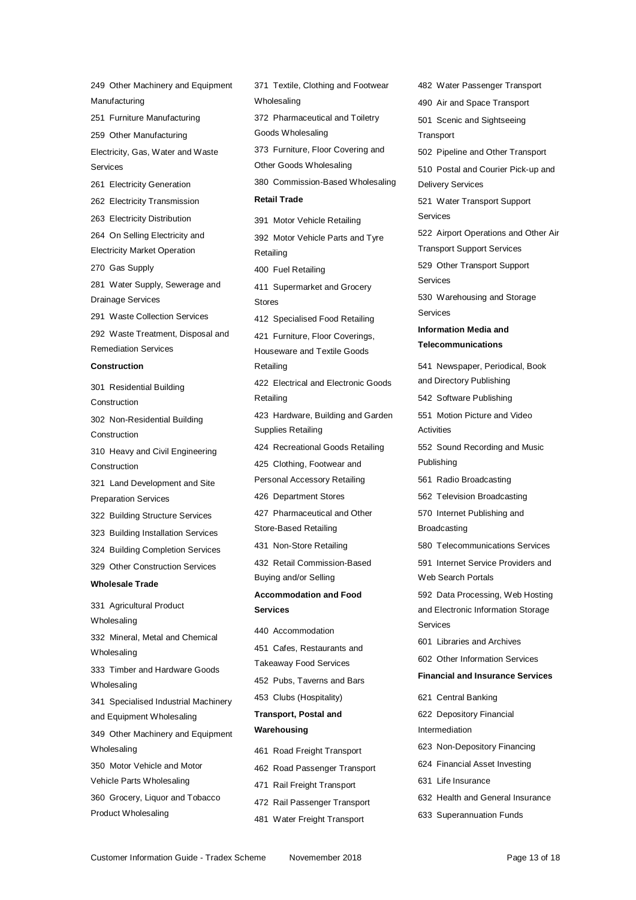249 Other Machinery and Equipment Manufacturing 251 Furniture Manufacturing 259 Other Manufacturing Electricity, Gas, Water and Waste Services 261 Electricity Generation 262 Electricity Transmission 263 Electricity Distribution 264 On Selling Electricity and Electricity Market Operation 270 Gas Supply 281 Water Supply, Sewerage and Drainage Services 291 Waste Collection Services 292 Waste Treatment, Disposal and Remediation Services **Construction** 301 Residential Building Construction 302 Non-Residential Building Construction 310 Heavy and Civil Engineering Construction 321 Land Development and Site Preparation Services 322 Building Structure Services 323 Building Installation Services 324 Building Completion Services 329 Other Construction Services **Wholesale Trade** 331 Agricultural Product Wholesaling 332 Mineral, Metal and Chemical Wholesaling 333 Timber and Hardware Goods **Wholesaling** 341 Specialised Industrial Machinery and Equipment Wholesaling 349 Other Machinery and Equipment Wholesaling 350 Motor Vehicle and Motor Vehicle Parts Wholesaling 360 Grocery, Liquor and Tobacco

Product Wholesaling

371 Textile, Clothing and Footwear **Wholesaling** 372 Pharmaceutical and Toiletry Goods Wholesaling 373 Furniture, Floor Covering and Other Goods Wholesaling 380 Commission-Based Wholesaling **Retail Trade** 391 Motor Vehicle Retailing 392 Motor Vehicle Parts and Tyre Retailing 400 Fuel Retailing 411 Supermarket and Grocery Stores 412 Specialised Food Retailing 421 Furniture, Floor Coverings, Houseware and Textile Goods Retailing 422 Electrical and Electronic Goods Retailing 423 Hardware, Building and Garden Supplies Retailing 424 Recreational Goods Retailing 425 Clothing, Footwear and Personal Accessory Retailing 426 Department Stores 427 Pharmaceutical and Other Store-Based Retailing 431 Non-Store Retailing 432 Retail Commission-Based Buying and/or Selling **Accommodation and Food Services** 440 Accommodation 451 Cafes, Restaurants and Takeaway Food Services 452 Pubs, Taverns and Bars 453 Clubs (Hospitality) **Transport, Postal and Warehousing** 461 Road Freight Transport 462 Road Passenger Transport

471 Rail Freight Transport 472 Rail Passenger Transport 481 Water Freight Transport

Services

482 Water Passenger Transport 490 Air and Space Transport 501 Scenic and Sightseeing **Transport** 502 Pipeline and Other Transport 510 Postal and Courier Pick-up and Delivery Services 521 Water Transport Support Services 522 Airport Operations and Other Air Transport Support Services 529 Other Transport Support Services 530 Warehousing and Storage Services **Information Media and Telecommunications** 541 Newspaper, Periodical, Book and Directory Publishing 542 Software Publishing 551 Motion Picture and Video **Activities** 552 Sound Recording and Music Publishing 561 Radio Broadcasting 562 Television Broadcasting 570 Internet Publishing and Broadcasting 580 Telecommunications Services 591 Internet Service Providers and Web Search Portals 592 Data Processing, Web Hosting and Electronic Information Storage 601 Libraries and Archives 602 Other Information Services **Financial and Insurance Services** 621 Central Banking 622 Depository Financial Intermediation 623 Non-Depository Financing 624 Financial Asset Investing 631 Life Insurance

- 632 Health and General Insurance
- 633 Superannuation Funds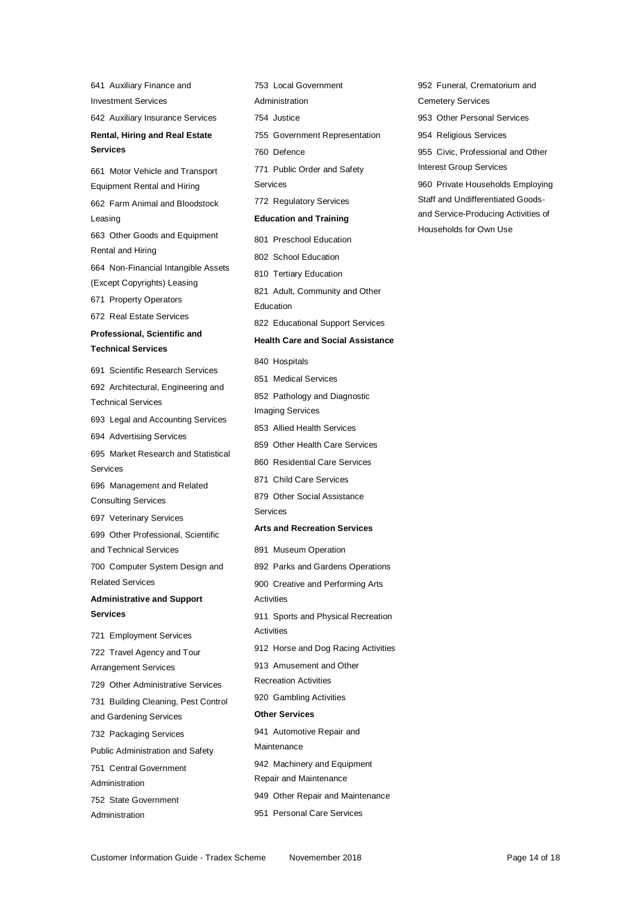641 Auxiliary Finance and Investment Services 642 Auxiliary Insurance Services **Rental, Hiring and Real Estate Services** 661 Motor Vehicle and Transport Equipment Rental and Hiring 662 Farm Animal and Bloodstock Leasing 663 Other Goods and Equipment Rental and Hiring 664 Non-Financial Intangible Assets (Except Copyrights) Leasing 671 Property Operators 672 Real Estate Services **Professional, Scientific and Technical Services** 691 Scientific Research Services 692 Architectural, Engineering and Technical Services 693 Legal and Accounting Services 694 Advertising Services 695 Market Research and Statistical Services 696 Management and Related Consulting Services 697 Veterinary Services 699 Other Professional, Scientific and Technical Services 700 Computer System Design and Related Services **Administrative and Support Services** 721 Employment Services 722 Travel Agency and Tour Arrangement Services 729 Other Administrative Services 731 Building Cleaning, Pest Control and Gardening Services 732 Packaging Services Public Administration and Safety 751 Central Government Administration 752 State Government

753 Local Government Administration 754 Justice 755 Government Representation 760 Defence 771 Public Order and Safety Services 772 Regulatory Services **Education and Training** 801 Preschool Education 802 School Education 810 Tertiary Education 821 Adult, Community and Other Education 822 Educational Support Services **Health Care and Social Assistance** 840 Hospitals 851 Medical Services 852 Pathology and Diagnostic Imaging Services 853 Allied Health Services 859 Other Health Care Services 860 Residential Care Services 871 Child Care Services 879 Other Social Assistance Services **Arts and Recreation Services** 891 Museum Operation 892 Parks and Gardens Operations 900 Creative and Performing Arts Activities 911 Sports and Physical Recreation **Activities** 912 Horse and Dog Racing Activities 913 Amusement and Other Recreation Activities 920 Gambling Activities **Other Services** 941 Automotive Repair and Maintenance 942 Machinery and Equipment Repair and Maintenance 949 Other Repair and Maintenance 951 Personal Care Services

952 Funeral, Crematorium and Cemetery Services 953 Other Personal Services 954 Religious Services 955 Civic, Professional and Other Interest Group Services 960 Private Households Employing Staff and Undifferentiated Goodsand Service-Producing Activities of

Households for Own Use

Administration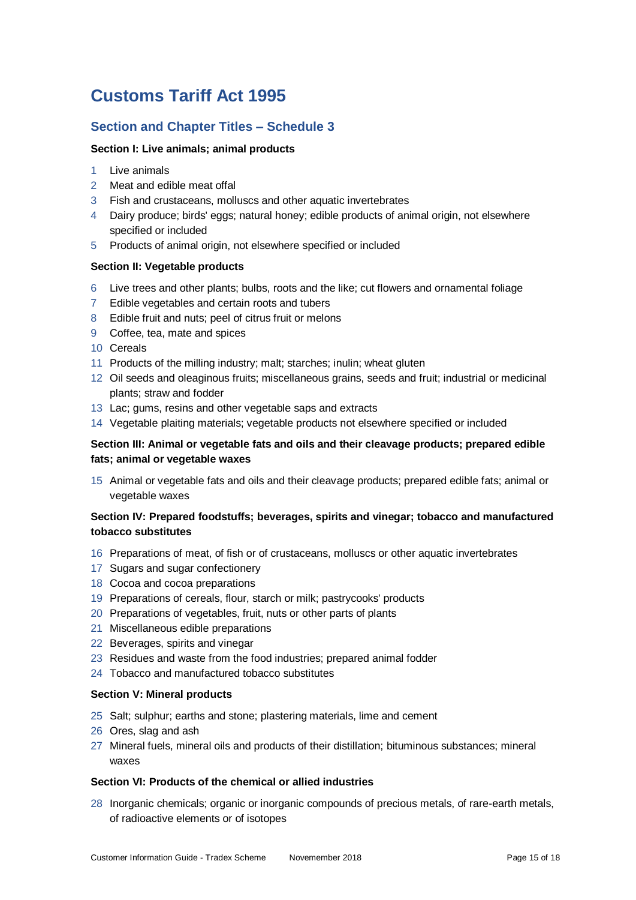# **Customs Tariff Act 1995**

## **Section and Chapter Titles – Schedule 3**

### **Section I: Live animals; animal products**

- Live animals
- Meat and edible meat offal
- Fish and crustaceans, molluscs and other aquatic invertebrates
- Dairy produce; birds' eggs; natural honey; edible products of animal origin, not elsewhere specified or included
- Products of animal origin, not elsewhere specified or included

### **Section II: Vegetable products**

- Live trees and other plants; bulbs, roots and the like; cut flowers and ornamental foliage
- Edible vegetables and certain roots and tubers
- Edible fruit and nuts; peel of citrus fruit or melons
- Coffee, tea, mate and spices
- Cereals
- Products of the milling industry; malt; starches; inulin; wheat gluten
- Oil seeds and oleaginous fruits; miscellaneous grains, seeds and fruit; industrial or medicinal plants; straw and fodder
- Lac; gums, resins and other vegetable saps and extracts
- Vegetable plaiting materials; vegetable products not elsewhere specified or included

### **Section III: Animal or vegetable fats and oils and their cleavage products; prepared edible fats; animal or vegetable waxes**

 Animal or vegetable fats and oils and their cleavage products; prepared edible fats; animal or vegetable waxes

### **Section IV: Prepared foodstuffs; beverages, spirits and vinegar; tobacco and manufactured tobacco substitutes**

- Preparations of meat, of fish or of crustaceans, molluscs or other aquatic invertebrates
- Sugars and sugar confectionery
- Cocoa and cocoa preparations
- Preparations of cereals, flour, starch or milk; pastrycooks' products
- Preparations of vegetables, fruit, nuts or other parts of plants
- Miscellaneous edible preparations
- Beverages, spirits and vinegar
- Residues and waste from the food industries; prepared animal fodder
- Tobacco and manufactured tobacco substitutes

#### **Section V: Mineral products**

- Salt; sulphur; earths and stone; plastering materials, lime and cement
- Ores, slag and ash
- Mineral fuels, mineral oils and products of their distillation; bituminous substances; mineral waxes

### **Section VI: Products of the chemical or allied industries**

 Inorganic chemicals; organic or inorganic compounds of precious metals, of rare-earth metals, of radioactive elements or of isotopes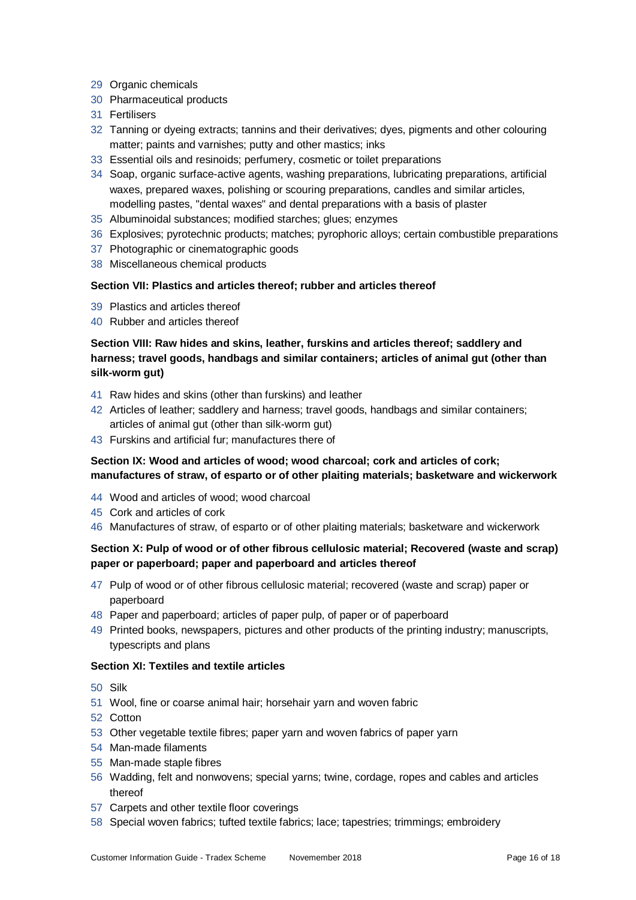- Organic chemicals
- Pharmaceutical products
- Fertilisers
- Tanning or dyeing extracts; tannins and their derivatives; dyes, pigments and other colouring matter; paints and varnishes; putty and other mastics; inks
- Essential oils and resinoids; perfumery, cosmetic or toilet preparations
- Soap, organic surface-active agents, washing preparations, lubricating preparations, artificial waxes, prepared waxes, polishing or scouring preparations, candles and similar articles, modelling pastes, "dental waxes" and dental preparations with a basis of plaster
- Albuminoidal substances; modified starches; glues; enzymes
- Explosives; pyrotechnic products; matches; pyrophoric alloys; certain combustible preparations
- Photographic or cinematographic goods
- Miscellaneous chemical products

#### **Section VII: Plastics and articles thereof; rubber and articles thereof**

- Plastics and articles thereof
- Rubber and articles thereof

### **Section VIII: Raw hides and skins, leather, furskins and articles thereof; saddlery and harness; travel goods, handbags and similar containers; articles of animal gut (other than silk-worm gut)**

- Raw hides and skins (other than furskins) and leather
- Articles of leather; saddlery and harness; travel goods, handbags and similar containers; articles of animal gut (other than silk-worm gut)
- Furskins and artificial fur; manufactures there of

### Section IX: Wood and articles of wood; wood charcoal; cork and articles of cork; **manufactures of straw, of esparto or of other plaiting materials; basketware and wickerwork**

- Wood and articles of wood; wood charcoal
- Cork and articles of cork
- Manufactures of straw, of esparto or of other plaiting materials; basketware and wickerwork

### **Section X: Pulp of wood or of other fibrous cellulosic material; Recovered (waste and scrap) paper or paperboard; paper and paperboard and articles thereof**

- Pulp of wood or of other fibrous cellulosic material; recovered (waste and scrap) paper or paperboard
- Paper and paperboard; articles of paper pulp, of paper or of paperboard
- Printed books, newspapers, pictures and other products of the printing industry; manuscripts, typescripts and plans

#### **Section XI: Textiles and textile articles**

- Silk
- Wool, fine or coarse animal hair; horsehair yarn and woven fabric
- Cotton
- Other vegetable textile fibres; paper yarn and woven fabrics of paper yarn
- Man-made filaments
- Man-made staple fibres
- Wadding, felt and nonwovens; special yarns; twine, cordage, ropes and cables and articles thereof
- Carpets and other textile floor coverings
- Special woven fabrics; tufted textile fabrics; lace; tapestries; trimmings; embroidery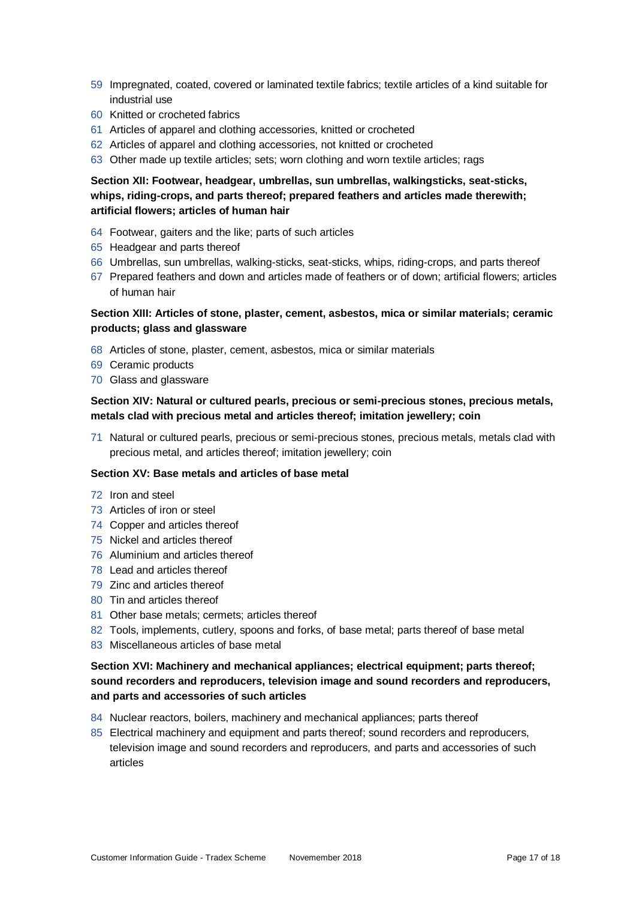- Impregnated, coated, covered or laminated textile fabrics; textile articles of a kind suitable for industrial use
- Knitted or crocheted fabrics
- Articles of apparel and clothing accessories, knitted or crocheted
- Articles of apparel and clothing accessories, not knitted or crocheted
- Other made up textile articles; sets; worn clothing and worn textile articles; rags

### **Section XII: Footwear, headgear, umbrellas, sun umbrellas, walkingsticks, seat-sticks, whips, riding-crops, and parts thereof; prepared feathers and articles made therewith; artificial flowers; articles of human hair**

- Footwear, gaiters and the like; parts of such articles
- Headgear and parts thereof
- Umbrellas, sun umbrellas, walking-sticks, seat-sticks, whips, riding-crops, and parts thereof
- Prepared feathers and down and articles made of feathers or of down; artificial flowers; articles of human hair

### **Section XIII: Articles of stone, plaster, cement, asbestos, mica or similar materials; ceramic products; glass and glassware**

- Articles of stone, plaster, cement, asbestos, mica or similar materials
- Ceramic products
- Glass and glassware

### **Section XIV: Natural or cultured pearls, precious or semi-precious stones, precious metals, metals clad with precious metal and articles thereof; imitation jewellery; coin**

 Natural or cultured pearls, precious or semi-precious stones, precious metals, metals clad with precious metal, and articles thereof; imitation jewellery; coin

#### **Section XV: Base metals and articles of base metal**

- Iron and steel
- Articles of iron or steel
- Copper and articles thereof
- Nickel and articles thereof
- Aluminium and articles thereof
- Lead and articles thereof
- Zinc and articles thereof
- Tin and articles thereof
- Other base metals; cermets; articles thereof
- Tools, implements, cutlery, spoons and forks, of base metal; parts thereof of base metal
- Miscellaneous articles of base metal

### **Section XVI: Machinery and mechanical appliances; electrical equipment; parts thereof; sound recorders and reproducers, television image and sound recorders and reproducers, and parts and accessories of such articles**

- Nuclear reactors, boilers, machinery and mechanical appliances; parts thereof
- Electrical machinery and equipment and parts thereof; sound recorders and reproducers, television image and sound recorders and reproducers, and parts and accessories of such articles